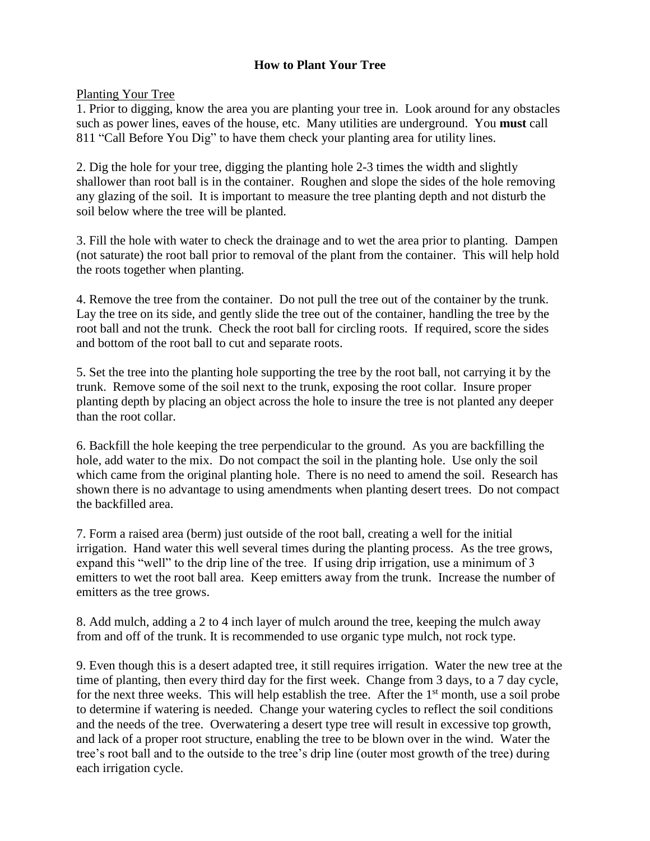## **How to Plant Your Tree**

Planting Your Tree

1. Prior to digging, know the area you are planting your tree in. Look around for any obstacles such as power lines, eaves of the house, etc. Many utilities are underground. You **must** call 811 "Call Before You Dig" to have them check your planting area for utility lines.

2. Dig the hole for your tree, digging the planting hole 2-3 times the width and slightly shallower than root ball is in the container. Roughen and slope the sides of the hole removing any glazing of the soil. It is important to measure the tree planting depth and not disturb the soil below where the tree will be planted.

3. Fill the hole with water to check the drainage and to wet the area prior to planting. Dampen (not saturate) the root ball prior to removal of the plant from the container. This will help hold the roots together when planting.

4. Remove the tree from the container. Do not pull the tree out of the container by the trunk. Lay the tree on its side, and gently slide the tree out of the container, handling the tree by the root ball and not the trunk. Check the root ball for circling roots. If required, score the sides and bottom of the root ball to cut and separate roots.

5. Set the tree into the planting hole supporting the tree by the root ball, not carrying it by the trunk. Remove some of the soil next to the trunk, exposing the root collar. Insure proper planting depth by placing an object across the hole to insure the tree is not planted any deeper than the root collar.

6. Backfill the hole keeping the tree perpendicular to the ground. As you are backfilling the hole, add water to the mix. Do not compact the soil in the planting hole. Use only the soil which came from the original planting hole. There is no need to amend the soil. Research has shown there is no advantage to using amendments when planting desert trees. Do not compact the backfilled area.

7. Form a raised area (berm) just outside of the root ball, creating a well for the initial irrigation. Hand water this well several times during the planting process. As the tree grows, expand this "well" to the drip line of the tree. If using drip irrigation, use a minimum of 3 emitters to wet the root ball area. Keep emitters away from the trunk. Increase the number of emitters as the tree grows.

8. Add mulch, adding a 2 to 4 inch layer of mulch around the tree, keeping the mulch away from and off of the trunk. It is recommended to use organic type mulch, not rock type.

9. Even though this is a desert adapted tree, it still requires irrigation. Water the new tree at the time of planting, then every third day for the first week. Change from 3 days, to a 7 day cycle, for the next three weeks. This will help establish the tree. After the  $1<sup>st</sup>$  month, use a soil probe to determine if watering is needed. Change your watering cycles to reflect the soil conditions and the needs of the tree. Overwatering a desert type tree will result in excessive top growth, and lack of a proper root structure, enabling the tree to be blown over in the wind. Water the tree's root ball and to the outside to the tree's drip line (outer most growth of the tree) during each irrigation cycle.